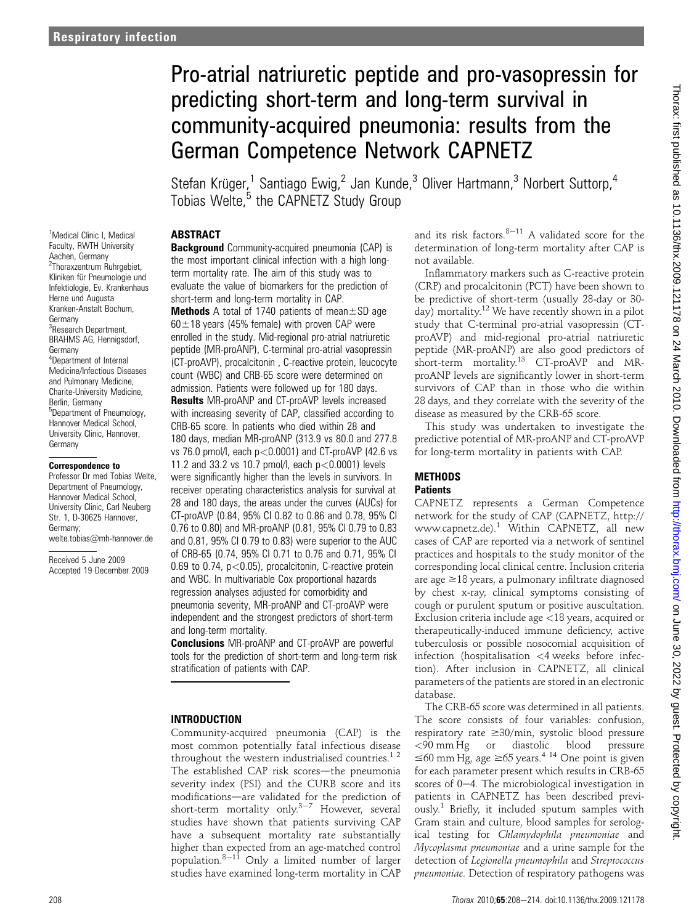# Pro-atrial natriuretic peptide and pro-vasopressin for predicting short-term and long-term survival in community-acquired pneumonia: results from the German Competence Network CAPNETZ

Stefan Krüger,<sup>1</sup> Santiago Ewig,<sup>2</sup> Jan Kunde,<sup>3</sup> Oliver Hartmann,<sup>3</sup> Norbert Suttorp,<sup>4</sup> Tobias Welte,<sup>5</sup> the CAPNETZ Study Group

## **ABSTRACT**

<sup>1</sup>Medical Clinic I, Medical Faculty, RWTH University Aachen, Germany <sup>2</sup>Thoraxzentrum Ruhrgebiet, Kliniken für Pneumologie und Infektiologie, Ev. Krankenhaus Herne und Augusta Kranken-Anstalt Bochum, Germany <sup>3</sup>Research Department, BRAHMS AG, Hennigsdorf, Germany 4 Department of Internal Medicine/Infectious Diseases and Pulmonary Medicine, Charite-University Medicine, Berlin, Germany 5 Department of Pneumology, Hannover Medical School, University Clinic, Hannover, Germany

#### Correspondence to

Professor Dr med Tobias Welte, Department of Pneumology, Hannover Medical School, University Clinic, Carl Neuberg Str. 1, D-30625 Hannover, Germany; welte.tobias@mh-hannover.de

Received 5 June 2009 Accepted 19 December 2009

**Background** Community-acquired pneumonia (CAP) is the most important clinical infection with a high longterm mortality rate. The aim of this study was to evaluate the value of biomarkers for the prediction of short-term and long-term mortality in CAP. **Methods** A total of 1740 patients of mean $\pm$ SD age

 $60\pm18$  years (45% female) with proven CAP were enrolled in the study. Mid-regional pro-atrial natriuretic peptide (MR-proANP), C-terminal pro-atrial vasopressin (CT-proAVP), procalcitonin , C-reactive protein, leucocyte count (WBC) and CRB-65 score were determined on admission. Patients were followed up for 180 days.

Results MR-proANP and CT-proAVP levels increased with increasing severity of CAP, classified according to CRB-65 score. In patients who died within 28 and 180 days, median MR-proANP (313.9 vs 80.0 and 277.8 vs 76.0 pmol/l, each p<0.0001) and CT-proAVP (42.6 vs

11.2 and 33.2 vs 10.7 pmol/l, each p<0.0001) levels were significantly higher than the levels in survivors. In receiver operating characteristics analysis for survival at 28 and 180 days, the areas under the curves (AUCs) for CT-proAVP (0.84, 95% CI 0.82 to 0.86 and 0.78, 95% CI 0.76 to 0.80) and MR-proANP (0.81, 95% CI 0.79 to 0.83 and 0.81, 95% CI 0.79 to 0.83) were superior to the AUC of CRB-65 (0.74, 95% CI 0.71 to 0.76 and 0.71, 95% CI 0.69 to 0.74, p<0.05), procalcitonin, C-reactive protein and WBC. In multivariable Cox proportional hazards regression analyses adjusted for comorbidity and pneumonia severity, MR-proANP and CT-proAVP were independent and the strongest predictors of short-term and long-term mortality.

Conclusions MR-proANP and CT-proAVP are powerful tools for the prediction of short-term and long-term risk stratification of patients with CAP.

## INTRODUCTION

Community-acquired pneumonia (CAP) is the most common potentially fatal infectious disease throughout the western industrialised countries. $12$ The established CAP risk scores-the pneumonia severity index (PSI) and the CURB score and its modifications-are validated for the prediction of short-term mortality only. $3-7$  However, several studies have shown that patients surviving CAP have a subsequent mortality rate substantially higher than expected from an age-matched control population. $8-11$  Only a limited number of larger studies have examined long-term mortality in CAP

and its risk factors. $8-11$  A validated score for the determination of long-term mortality after CAP is not available.

Inflammatory markers such as C-reactive protein (CRP) and procalcitonin (PCT) have been shown to be predictive of short-term (usually 28-day or 30 day) mortality.<sup>12</sup> We have recently shown in a pilot study that C-terminal pro-atrial vasopressin (CTproAVP) and mid-regional pro-atrial natriuretic peptide (MR-proANP) are also good predictors of short-term mortality.<sup>13</sup> CT-proAVP and MRproANP levels are significantly lower in short-term survivors of CAP than in those who die within 28 days, and they correlate with the severity of the disease as measured by the CRB-65 score.

This study was undertaken to investigate the predictive potential of MR-proANP and CT-proAVP for long-term mortality in patients with CAP.

#### **METHODS Patients**

CAPNETZ represents a German Competence network for the study of CAP (CAPNETZ, http:// www.capnetz.de).<sup>1</sup> Within CAPNETZ, all new cases of CAP are reported via a network of sentinel practices and hospitals to the study monitor of the corresponding local clinical centre. Inclusion criteria are age  $\geq$ 18 years, a pulmonary infiltrate diagnosed by chest x-ray, clinical symptoms consisting of cough or purulent sputum or positive auscultation. Exclusion criteria include age <18 years, acquired or therapeutically-induced immune deficiency, active tuberculosis or possible nosocomial acquisition of infection (hospitalisation <4 weeks before infection). After inclusion in CAPNETZ, all clinical parameters of the patients are stored in an electronic database.

The CRB-65 score was determined in all patients. The score consists of four variables: confusion, respiratory rate  $\geq 30/min$ , systolic blood pressure<br><90 mm Hg or diastolic blood pressure <90 mm Hg or diastolic blood pressure  $\leq$ 60 mm Hg, age  $\geq$ 65 years.<sup>4 14</sup> One point is given for each parameter present which results in CRB-65 scores of  $0-4$ . The microbiological investigation in patients in CAPNETZ has been described previously.<sup>1</sup> Briefly, it included sputum samples with Gram stain and culture, blood samples for serological testing for Chlamydophila pneumoniae and Mycoplasma pneumoniae and a urine sample for the detection of Legionella pneumophila and Streptococcus pneumoniae. Detection of respiratory pathogens was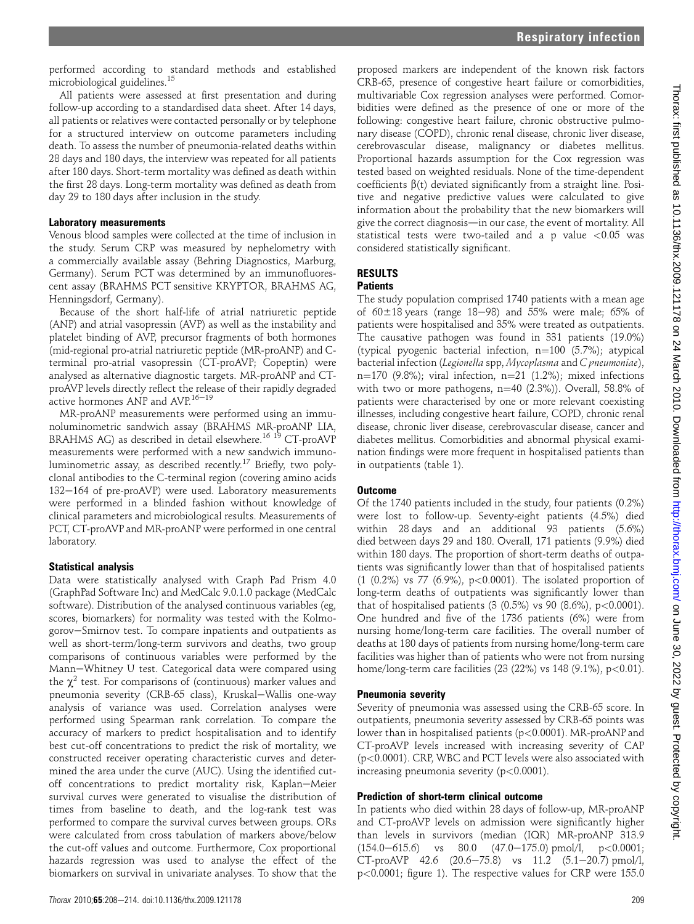performed according to standard methods and established microbiological guidelines.<sup>15</sup>

All patients were assessed at first presentation and during follow-up according to a standardised data sheet. After 14 days, all patients or relatives were contacted personally or by telephone for a structured interview on outcome parameters including death. To assess the number of pneumonia-related deaths within 28 days and 180 days, the interview was repeated for all patients after 180 days. Short-term mortality was defined as death within the first 28 days. Long-term mortality was defined as death from day 29 to 180 days after inclusion in the study.

#### Laboratory measurements

Venous blood samples were collected at the time of inclusion in the study. Serum CRP was measured by nephelometry with a commercially available assay (Behring Diagnostics, Marburg, Germany). Serum PCT was determined by an immunofluorescent assay (BRAHMS PCT sensitive KRYPTOR, BRAHMS AG, Henningsdorf, Germany).

Because of the short half-life of atrial natriuretic peptide (ANP) and atrial vasopressin (AVP) as well as the instability and platelet binding of AVP, precursor fragments of both hormones (mid-regional pro-atrial natriuretic peptide (MR-proANP) and Cterminal pro-atrial vasopressin (CT-proAVP; Copeptin) were analysed as alternative diagnostic targets. MR-proANP and CTproAVP levels directly reflect the release of their rapidly degraded active hormones ANP and AVP. $16-19$ 

MR-proANP measurements were performed using an immunoluminometric sandwich assay (BRAHMS MR-proANP LIA, BRAHMS AG) as described in detail elsewhere.<sup>16 19</sup> CT-proAVP measurements were performed with a new sandwich immunoluminometric assay, as described recently.<sup>17</sup> Briefly, two polyclonal antibodies to the C-terminal region (covering amino acids 132-164 of pre-proAVP) were used. Laboratory measurements were performed in a blinded fashion without knowledge of clinical parameters and microbiological results. Measurements of PCT, CT-proAVP and MR-proANP were performed in one central laboratory.

## Statistical analysis

Data were statistically analysed with Graph Pad Prism 4.0 (GraphPad Software Inc) and MedCalc 9.0.1.0 package (MedCalc software). Distribution of the analysed continuous variables (eg, scores, biomarkers) for normality was tested with the KolmogoroveSmirnov test. To compare inpatients and outpatients as well as short-term/long-term survivors and deaths, two group comparisons of continuous variables were performed by the Mann-Whitney U test. Categorical data were compared using the  $\chi^2$  test. For comparisons of (continuous) marker values and pneumonia severity (CRB-65 class), Kruskal-Wallis one-way analysis of variance was used. Correlation analyses were performed using Spearman rank correlation. To compare the accuracy of markers to predict hospitalisation and to identify best cut-off concentrations to predict the risk of mortality, we constructed receiver operating characteristic curves and determined the area under the curve (AUC). Using the identified cutoff concentrations to predict mortality risk, Kaplan-Meier survival curves were generated to visualise the distribution of times from baseline to death, and the log-rank test was performed to compare the survival curves between groups. ORs were calculated from cross tabulation of markers above/below the cut-off values and outcome. Furthermore, Cox proportional hazards regression was used to analyse the effect of the biomarkers on survival in univariate analyses. To show that the

proposed markers are independent of the known risk factors CRB-65, presence of congestive heart failure or comorbidities, multivariable Cox regression analyses were performed. Comorbidities were defined as the presence of one or more of the following: congestive heart failure, chronic obstructive pulmonary disease (COPD), chronic renal disease, chronic liver disease, cerebrovascular disease, malignancy or diabetes mellitus. Proportional hazards assumption for the Cox regression was tested based on weighted residuals. None of the time-dependent coefficients  $\beta(t)$  deviated significantly from a straight line. Positive and negative predictive values were calculated to give information about the probability that the new biomarkers will give the correct diagnosis-in our case, the event of mortality. All statistical tests were two-tailed and a p value  $< 0.05$  was considered statistically significant.

## RESULTS

## **Patients**

The study population comprised 1740 patients with a mean age of  $60\pm18$  years (range 18–98) and 55% were male; 65% of patients were hospitalised and 35% were treated as outpatients. The causative pathogen was found in 331 patients (19.0%) (typical pyogenic bacterial infection,  $n=100$  (5.7%); atypical bacterial infection (Legionella spp, Mycoplasma and C pneumoniae), n=170 (9.8%); viral infection, n=21 (1.2%); mixed infections with two or more pathogens,  $n=40$  (2.3%)). Overall, 58.8% of patients were characterised by one or more relevant coexisting illnesses, including congestive heart failure, COPD, chronic renal disease, chronic liver disease, cerebrovascular disease, cancer and diabetes mellitus. Comorbidities and abnormal physical examination findings were more frequent in hospitalised patients than in outpatients (table 1).

## **Outcome**

Of the 1740 patients included in the study, four patients (0.2%) were lost to follow-up. Seventy-eight patients (4.5%) died within 28 days and an additional 93 patients (5.6%) died between days 29 and 180. Overall, 171 patients (9.9%) died within 180 days. The proportion of short-term deaths of outpatients was significantly lower than that of hospitalised patients (1 (0.2%) vs 77 (6.9%), p<0.0001). The isolated proportion of long-term deaths of outpatients was significantly lower than that of hospitalised patients  $(3 (0.5\%)$  vs  $90 (8.6\%)$ , p<0.0001). One hundred and five of the 1736 patients (6%) were from nursing home/long-term care facilities. The overall number of deaths at 180 days of patients from nursing home/long-term care facilities was higher than of patients who were not from nursing home/long-term care facilities (23 (22%) vs 148 (9.1%), p<0.01).

## Pneumonia severity

Severity of pneumonia was assessed using the CRB-65 score. In outpatients, pneumonia severity assessed by CRB-65 points was lower than in hospitalised patients (p<0.0001). MR-proANP and CT-proAVP levels increased with increasing severity of CAP (p<0.0001). CRP, WBC and PCT levels were also associated with increasing pneumonia severity (p<0.0001).

## Prediction of short-term clinical outcome

In patients who died within 28 days of follow-up, MR-proANP and CT-proAVP levels on admission were significantly higher than levels in survivors (median (IQR) MR-proANP 313.9  $(154.0-615.6)$  vs 80.0  $(47.0-175.0)$  pmol/l, p<0.0001;  $CT-$ proAVP 42.6 (20.6–75.8) vs 11.2 (5.1–20.7) pmol/l, p<0.0001; figure 1). The respective values for CRP were 155.0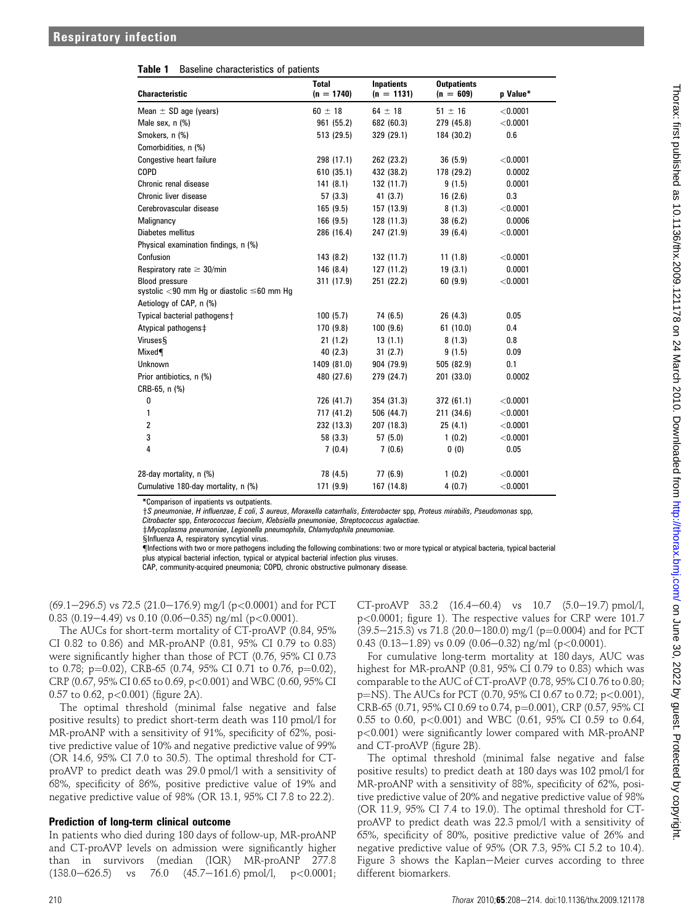#### Table 1 Baseline characteristics of patients

| <b>Characteristic</b>                           | <b>Total</b><br>$(n = 1740)$ | <b>Inpatients</b><br>$(n = 1131)$ | <b>Outpatients</b><br>$(n = 609)$ | p Value* |
|-------------------------------------------------|------------------------------|-----------------------------------|-----------------------------------|----------|
| Mean $\pm$ SD age (years)                       | $60 \pm 18$                  | $64 \pm 18$                       | $51 \pm 16$                       | < 0.0001 |
| Male sex, n (%)                                 | 961 (55.2)                   | 682 (60.3)                        | 279 (45.8)                        | < 0.0001 |
| Smokers, n (%)                                  | 513 (29.5)                   | 329 (29.1)                        | 184 (30.2)                        | 0.6      |
| Comorbidities, n (%)                            |                              |                                   |                                   |          |
| Congestive heart failure                        | 298 (17.1)                   | 262 (23.2)                        | 36(5.9)                           | < 0.0001 |
| COPD                                            | 610 (35.1)                   | 432 (38.2)                        | 178 (29.2)                        | 0.0002   |
| Chronic renal disease                           | 141(8.1)                     | 132 (11.7)                        | 9(1.5)                            | 0.0001   |
| Chronic liver disease                           | 57(3.3)                      | 41(3.7)                           | 16(2.6)                           | 0.3      |
| Cerebrovascular disease                         | 165(9.5)                     | 157 (13.9)                        | 8(1.3)                            | < 0.0001 |
| Malignancy                                      | 166(9.5)                     | 128 (11.3)                        | 38(6.2)                           | 0.0006   |
| Diabetes mellitus                               | 286 (16.4)                   | 247 (21.9)                        | 39 (6.4)                          | < 0.0001 |
| Physical examination findings, n (%)            |                              |                                   |                                   |          |
| Confusion                                       | 143 (8.2)                    | 132 (11.7)                        | 11(1.8)                           | < 0.0001 |
| Respiratory rate $\geq 30$ /min                 | 146 (8.4)                    | 127 (11.2)                        | 19(3.1)                           | 0.0001   |
| <b>Blood pressure</b>                           | 311 (17.9)                   | 251 (22.2)                        | 60(9.9)                           | < 0.0001 |
| systolic <90 mm Hq or diastolic $\leq$ 60 mm Hq |                              |                                   |                                   |          |
| Aetiology of CAP, n (%)                         |                              |                                   |                                   |          |
| Typical bacterial pathogens+                    | 100(5.7)                     | 74 (6.5)                          | 26 (4.3)                          | 0.05     |
| Atypical pathogens‡                             | 170 (9.8)                    | 100(9.6)                          | 61 (10.0)                         | 0.4      |
| Viruses                                         | 21(1.2)                      | 13(1.1)                           | 8(1.3)                            | 0.8      |
| Mixed                                           | 40 (2.3)                     | 31(2.7)                           | 9(1.5)                            | 0.09     |
| Unknown                                         | 1409 (81.0)                  | 904 (79.9)                        | 505 (82.9)                        | 0.1      |
| Prior antibiotics, n (%)                        | 480 (27.6)                   | 279 (24.7)                        | 201 (33.0)                        | 0.0002   |
| CRB-65, n (%)                                   |                              |                                   |                                   |          |
| 0                                               | 726 (41.7)                   | 354 (31.3)                        | 372 (61.1)                        | < 0.0001 |
| 1                                               | 717 (41.2)                   | 506 (44.7)                        | 211 (34.6)                        | < 0.0001 |
| 2                                               | 232 (13.3)                   | 207 (18.3)                        | 25(4.1)                           | < 0.0001 |
| 3                                               | 58 (3.3)                     | 57(5.0)                           | 1(0.2)                            | < 0.0001 |
| 4                                               | 7(0.4)                       | 7(0.6)                            | 0(0)                              | 0.05     |
| 28-day mortality, n (%)                         | 78 (4.5)                     | 77 (6.9)                          | 1(0.2)                            | < 0.0001 |
| Cumulative 180-day mortality, n (%)             | 171 (9.9)                    | 167 (14.8)                        | 4(0.7)                            | < 0.0001 |

\*Comparison of inpatients vs outpatients.

 $\uparrow$ S pneumoniae, H influenzae, E coli, S aureus, Moraxella catarrhalis, Enterobacter spp, Proteus mirabilis, Pseudomonas spp,

Citrobacter spp, Enterococcus faecium, Klebsiella pneumoniae, Streptococcus agalactiae.

zMycoplasma pneumoniae, Legionella pneumophila, Chlamydophila pneumoniae.

SInfluenza A, respiratory syncytial virus.

{Infections with two or more pathogens including the following combinations: two or more typical or atypical bacteria, typical bacterial

plus atypical bacterial infection, typical or atypical bacterial infection plus viruses.

CAP, community-acquired pneumonia; COPD, chronic obstructive pulmonary disease.

 $(69.1-296.5)$  vs 72.5 (21.0-176.9) mg/l (p<0.0001) and for PCT 0.83 (0.19-4.49) vs 0.10 (0.06-0.35) ng/ml (p<0.0001).

The AUCs for short-term mortality of CT-proAVP (0.84, 95% CI 0.82 to 0.86) and MR-proANP (0.81, 95% CI 0.79 to 0.83) were significantly higher than those of PCT (0.76, 95% CI 0.73 to 0.78; p=0.02), CRB-65 (0.74, 95% CI 0.71 to 0.76, p=0.02), CRP (0.67, 95% CI 0.65 to 0.69, p<0.001) and WBC (0.60, 95% CI 0.57 to 0.62, p<0.001) (figure 2A).

The optimal threshold (minimal false negative and false positive results) to predict short-term death was 110 pmol/l for MR-proANP with a sensitivity of 91%, specificity of 62%, positive predictive value of 10% and negative predictive value of 99% (OR 14.6, 95% CI 7.0 to 30.5). The optimal threshold for CTproAVP to predict death was 29.0 pmol/l with a sensitivity of 68%, specificity of 86%, positive predictive value of 19% and negative predictive value of 98% (OR 13.1, 95% CI 7.8 to 22.2).

#### Prediction of long-term clinical outcome

In patients who died during 180 days of follow-up, MR-proANP and CT-proAVP levels on admission were significantly higher than in survivors (median (IQR) MR-proANP 277.8  $(138.0-626.5)$  vs  $76.0$   $(45.7-161.6)$  pmol/l,  $p < 0.0001$ ;  $CT-proAVP$  33.2 (16.4-60.4) vs 10.7 (5.0-19.7) pmol/l, p<0.0001; figure 1). The respective values for CRP were 101.7  $(39.5-215.3)$  vs 71.8  $(20.0-180.0)$  mg/l (p=0.0004) and for PCT 0.43 (0.13-1.89) vs 0.09 (0.06-0.32) ng/ml (p<0.0001).

For cumulative long-term mortality at 180 days, AUC was highest for MR-proANP (0.81, 95% CI 0.79 to 0.83) which was comparable to the AUC of CT-proAVP (0.78, 95% CI 0.76 to 0.80; p=NS). The AUCs for PCT (0.70, 95% CI 0.67 to 0.72; p<0.001), CRB-65 (0.71, 95% CI 0.69 to 0.74, p=0.001), CRP (0.57, 95% CI 0.55 to 0.60, p<0.001) and WBC (0.61, 95% CI 0.59 to 0.64, p<0.001) were significantly lower compared with MR-proANP and CT-proAVP (figure 2B).

The optimal threshold (minimal false negative and false positive results) to predict death at 180 days was 102 pmol/l for MR-proANP with a sensitivity of 88%, specificity of 62%, positive predictive value of 20% and negative predictive value of 98% (OR 11.9, 95% CI 7.4 to 19.0). The optimal threshold for CTproAVP to predict death was 22.3 pmol/l with a sensitivity of 65%, specificity of 80%, positive predictive value of 26% and negative predictive value of 95% (OR 7.3, 95% CI 5.2 to 10.4). Figure 3 shows the Kaplan-Meier curves according to three different biomarkers.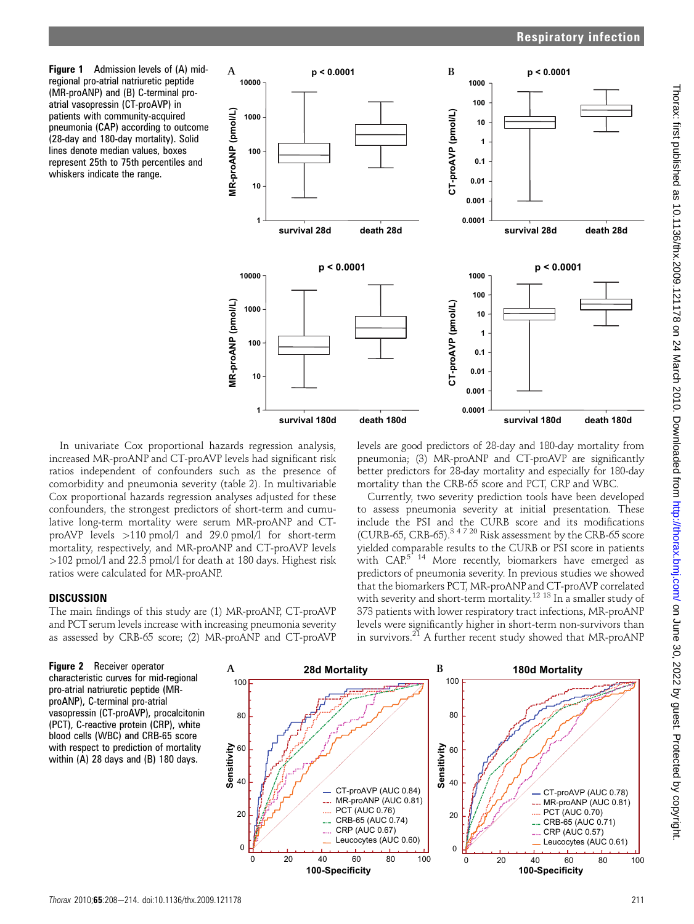Figure 1 Admission levels of (A) midregional pro-atrial natriuretic peptide (MR-proANP) and (B) C-terminal proatrial vasopressin (CT-proAVP) in patients with community-acquired pneumonia (CAP) according to outcome (28-day and 180-day mortality). Solid lines denote median values, boxes represent 25th to 75th percentiles and whiskers indicate the range.



**survival 180d death 180d**

**survival 180d death 180d**

In univariate Cox proportional hazards regression analysis, increased MR-proANP and CT-proAVP levels had significant risk ratios independent of confounders such as the presence of comorbidity and pneumonia severity (table 2). In multivariable Cox proportional hazards regression analyses adjusted for these confounders, the strongest predictors of short-term and cumulative long-term mortality were serum MR-proANP and CTproAVP levels >110 pmol/l and 29.0 pmol/l for short-term mortality, respectively, and MR-proANP and CT-proAVP levels >102 pmol/l and 22.3 pmol/l for death at 180 days. Highest risk ratios were calculated for MR-proANP.

## **DISCUSSION**

The main findings of this study are (1) MR-proANP, CT-proAVP and PCT serum levels increase with increasing pneumonia severity as assessed by CRB-65 score; (2) MR-proANP and CT-proAVP levels are good predictors of 28-day and 180-day mortality from pneumonia; (3) MR-proANP and CT-proAVP are significantly better predictors for 28-day mortality and especially for 180-day mortality than the CRB-65 score and PCT, CRP and WBC.

Currently, two severity prediction tools have been developed to assess pneumonia severity at initial presentation. These include the PSI and the CURB score and its modifications (CURB-65, CRB-65). $34720$  Risk assessment by the CRB-65 score yielded comparable results to the CURB or PSI score in patients with CAP.<sup>5' 14</sup> More recently, biomarkers have emerged as predictors of pneumonia severity. In previous studies we showed that the biomarkers PCT, MR-proANP and CT-proAVP correlated with severity and short-term mortality.<sup>12 13</sup> In a smaller study of 373 patients with lower respiratory tract infections, MR-proANP levels were significantly higher in short-term non-survivors than in survivors. $^{21}$  A further recent study showed that MR-proANP

Figure 2 Receiver operator characteristic curves for mid-regional pro-atrial natriuretic peptide (MRproANP), C-terminal pro-atrial vasopressin (CT-proAVP), procalcitonin (PCT), C-reactive protein (CRP), white blood cells (WBC) and CRB-65 score with respect to prediction of mortality within (A) 28 days and (B) 180 days.

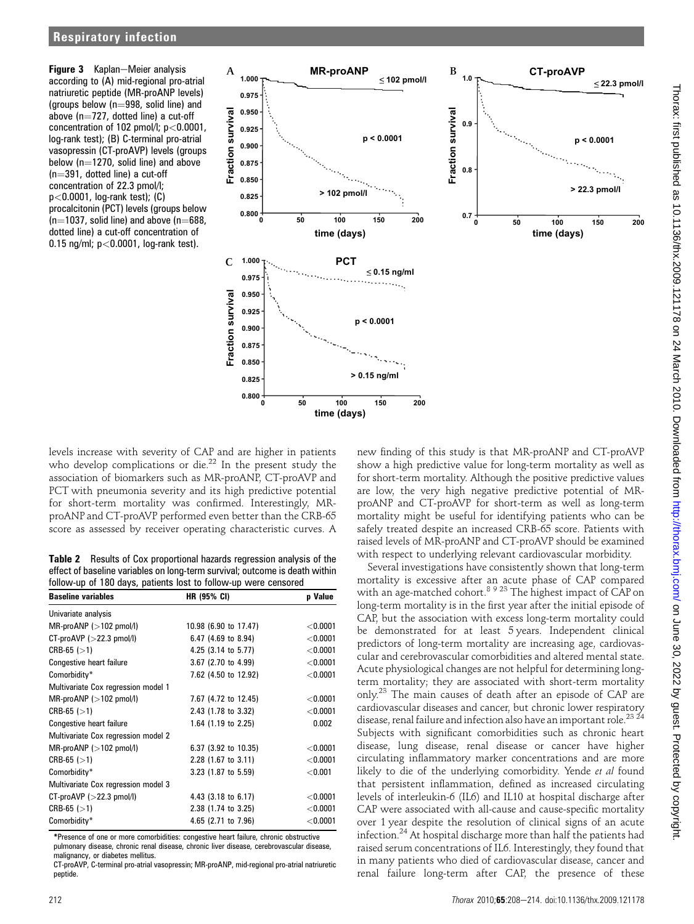Figure 3 Kaplan-Meier analysis according to (A) mid-regional pro-atrial natriuretic peptide (MR-proANP levels) (groups below ( $n=998$ , solid line) and above ( $n=727$ , dotted line) a cut-off concentration of 102 pmol/l;  $p < 0.0001$ , log-rank test); (B) C-terminal pro-atrial vasopressin (CT-proAVP) levels (groups below ( $n=1270$ , solid line) and above  $(n=391, \text{ dotted line})$  a cut-off concentration of 22.3 pmol/l; p<0.0001, log-rank test); (C) procalcitonin (PCT) levels (groups below  $(n=1037,$  solid line) and above (n=688, dotted line) a cut-off concentration of 0.15 ng/ml; p<0.0001, log-rank test).



levels increase with severity of CAP and are higher in patients who develop complications or die.<sup>22</sup> In the present study the association of biomarkers such as MR-proANP, CT-proAVP and PCT with pneumonia severity and its high predictive potential for short-term mortality was confirmed. Interestingly, MRproANP and CT-proAVP performed even better than the CRB-65 score as assessed by receiver operating characteristic curves. A

Table 2 Results of Cox proportional hazards regression analysis of the effect of baseline variables on long-term survival; outcome is death within follow-up of 180 days, patients lost to follow-up were censored

| <b>Baseline variables</b>           | <b>HR (95% CI)</b>     | p Value    |
|-------------------------------------|------------------------|------------|
| Univariate analysis                 |                        |            |
| $MR-proAMP$ ( $>102$ pmol/l)        | 10.98 (6.90 to 17.47)  | $<$ 0.0001 |
| $CT-proAVP$ ( $>22.3$ pmol/l)       | $6.47$ (4.69 to 8.94)  | $<$ 0.0001 |
| $CRB-65 (>1)$                       | 4.25 (3.14 to 5.77)    | $<$ 0.0001 |
| Congestive heart failure            | 3.67 (2.70 to 4.99)    | $<$ 0.0001 |
| Comorbidity*                        | 7.62 (4.50 to 12.92)   | $<$ 0.0001 |
| Multivariate Cox regression model 1 |                        |            |
| $MR-proAMP$ ( $>102$ pmol/l)        | 7.67 (4.72 to 12.45)   | $<$ 0.0001 |
| $CRB-65 (>1)$                       | 2.43 (1.78 to 3.32)    | < 0.0001   |
| Congestive heart failure            | 1.64 (1.19 to 2.25)    | 0.002      |
| Multivariate Cox regression model 2 |                        |            |
| $MR-proAMP$ ( $>102$ pmol/l)        | $6.37$ (3.92 to 10.35) | $<$ 0.0001 |
| $CRB-65 (>1)$                       | 2.28 (1.67 to 3.11)    | < 0.0001   |
| Comorbidity*                        | 3.23 (1.87 to 5.59)    | < 0.001    |
| Multivariate Cox regression model 3 |                        |            |
| $CT-proAVP$ ( $>22.3$ pmol/l)       | $4.43$ (3.18 to 6.17)  | $<$ 0.0001 |
| $CRB-65 (>1)$                       | 2.38 (1.74 to 3.25)    | $<$ 0.0001 |
| Comorbidity*                        | 4.65 (2.71 to 7.96)    | $<$ 0.0001 |

\*Presence of one or more comorbidities: congestive heart failure, chronic obstructive pulmonary disease, chronic renal disease, chronic liver disease, cerebrovascular disease, malignancy, or diabetes mellitus.

CT-proAVP, C-terminal pro-atrial vasopressin; MR-proANP, mid-regional pro-atrial natriuretic peptide

new finding of this study is that MR-proANP and CT-proAVP show a high predictive value for long-term mortality as well as for short-term mortality. Although the positive predictive values are low, the very high negative predictive potential of MRproANP and CT-proAVP for short-term as well as long-term mortality might be useful for identifying patients who can be safely treated despite an increased CRB-65 score. Patients with raised levels of MR-proANP and CT-proAVP should be examined with respect to underlying relevant cardiovascular morbidity.

Several investigations have consistently shown that long-term mortality is excessive after an acute phase of CAP compared with an age-matched cohort.<sup>8 9 23</sup> The highest impact of CAP on long-term mortality is in the first year after the initial episode of CAP, but the association with excess long-term mortality could be demonstrated for at least 5 years. Independent clinical predictors of long-term mortality are increasing age, cardiovascular and cerebrovascular comorbidities and altered mental state. Acute physiological changes are not helpful for determining longterm mortality; they are associated with short-term mortality only.<sup>23</sup> The main causes of death after an episode of CAP are cardiovascular diseases and cancer, but chronic lower respiratory disease, renal failure and infection also have an important role.<sup>23</sup>  $^{24}$ Subjects with significant comorbidities such as chronic heart disease, lung disease, renal disease or cancer have higher circulating inflammatory marker concentrations and are more likely to die of the underlying comorbidity. Yende et al found that persistent inflammation, defined as increased circulating levels of interleukin-6 (IL6) and IL10 at hospital discharge after CAP were associated with all-cause and cause-specific mortality over 1 year despite the resolution of clinical signs of an acute infection.<sup>24</sup> At hospital discharge more than half the patients had raised serum concentrations of IL6. Interestingly, they found that in many patients who died of cardiovascular disease, cancer and renal failure long-term after CAP, the presence of these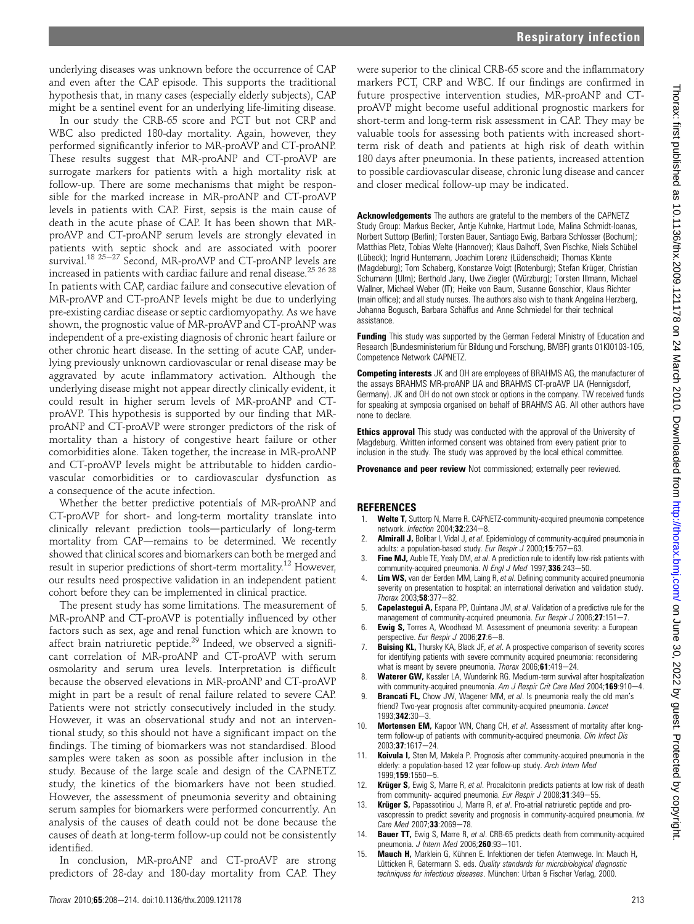underlying diseases was unknown before the occurrence of CAP and even after the CAP episode. This supports the traditional hypothesis that, in many cases (especially elderly subjects), CAP might be a sentinel event for an underlying life-limiting disease.

In our study the CRB-65 score and PCT but not CRP and WBC also predicted 180-day mortality. Again, however, they performed significantly inferior to MR-proAVP and CT-proANP. These results suggest that MR-proANP and CT-proAVP are surrogate markers for patients with a high mortality risk at follow-up. There are some mechanisms that might be responsible for the marked increase in MR-proANP and CT-proAVP levels in patients with CAP. First, sepsis is the main cause of death in the acute phase of CAP. It has been shown that MRproAVP and CT-proANP serum levels are strongly elevated in patients with septic shock and are associated with poorer survival.<sup>18 25-27</sup> Second, MR-proAVP and CT-proANP levels are increased in patients with cardiac failure and renal disease.25 26 28 In patients with CAP, cardiac failure and consecutive elevation of MR-proAVP and CT-proANP levels might be due to underlying pre-existing cardiac disease or septic cardiomyopathy. As we have shown, the prognostic value of MR-proAVP and CT-proANP was independent of a pre-existing diagnosis of chronic heart failure or other chronic heart disease. In the setting of acute CAP, underlying previously unknown cardiovascular or renal disease may be aggravated by acute inflammatory activation. Although the underlying disease might not appear directly clinically evident, it could result in higher serum levels of MR-proANP and CTproAVP. This hypothesis is supported by our finding that MRproANP and CT-proAVP were stronger predictors of the risk of mortality than a history of congestive heart failure or other comorbidities alone. Taken together, the increase in MR-proANP and CT-proAVP levels might be attributable to hidden cardiovascular comorbidities or to cardiovascular dysfunction as a consequence of the acute infection.

Whether the better predictive potentials of MR-proANP and CT-proAVP for short- and long-term mortality translate into clinically relevant prediction tools-particularly of long-term mortality from CAP-remains to be determined. We recently showed that clinical scores and biomarkers can both be merged and result in superior predictions of short-term mortality.<sup>12</sup> However, our results need prospective validation in an independent patient cohort before they can be implemented in clinical practice.

The present study has some limitations. The measurement of MR-proANP and CT-proAVP is potentially influenced by other factors such as sex, age and renal function which are known to affect brain natriuretic peptide.<sup>29</sup> Indeed, we observed a significant correlation of MR-proANP and CT-proAVP with serum osmolarity and serum urea levels. Interpretation is difficult because the observed elevations in MR-proANP and CT-proAVP might in part be a result of renal failure related to severe CAP. Patients were not strictly consecutively included in the study. However, it was an observational study and not an interventional study, so this should not have a significant impact on the findings. The timing of biomarkers was not standardised. Blood samples were taken as soon as possible after inclusion in the study. Because of the large scale and design of the CAPNETZ study, the kinetics of the biomarkers have not been studied. However, the assessment of pneumonia severity and obtaining serum samples for biomarkers were performed concurrently. An analysis of the causes of death could not be done because the causes of death at long-term follow-up could not be consistently identified.

In conclusion, MR-proANP and CT-proAVP are strong predictors of 28-day and 180-day mortality from CAP. They were superior to the clinical CRB-65 score and the inflammatory markers PCT, CRP and WBC. If our findings are confirmed in future prospective intervention studies, MR-proANP and CTproAVP might become useful additional prognostic markers for short-term and long-term risk assessment in CAP. They may be valuable tools for assessing both patients with increased shortterm risk of death and patients at high risk of death within 180 days after pneumonia. In these patients, increased attention to possible cardiovascular disease, chronic lung disease and cancer and closer medical follow-up may be indicated.

Acknowledgements The authors are grateful to the members of the CAPNETZ Study Group: Markus Becker, Antje Kuhnke, Hartmut Lode, Malina Schmidt-Ioanas, Norbert Suttorp (Berlin); Torsten Bauer, Santiago Ewig, Barbara Schlosser (Bochum); Matthias Pletz, Tobias Welte (Hannover); Klaus Dalhoff, Sven Pischke, Niels Schübel (Lübeck); Ingrid Huntemann, Joachim Lorenz (Lüdenscheid); Thomas Klante (Magdeburg); Tom Schaberg, Konstanze Voigt (Rotenburg); Stefan Krüger, Christian Schumann (Ulm); Berthold Jany, Uwe Ziegler (Würzburg); Torsten Illmann, Michael Wallner, Michael Weber (IT); Heike von Baum, Susanne Gonschior, Klaus Richter (main office); and all study nurses. The authors also wish to thank Angelina Herzberg, Johanna Bogusch, Barbara Schäffus and Anne Schmiedel for their technical assistance.

**Funding** This study was supported by the German Federal Ministry of Education and Research (Bundesministerium für Bildung und Forschung, BMBF) grants 01KI0103-105, Competence Network CAPNETZ.

Competing interests JK and OH are employees of BRAHMS AG, the manufacturer of the assays BRAHMS MR-proANP LIA and BRAHMS CT-proAVP LIA (Hennigsdorf, Germany). JK and OH do not own stock or options in the company. TW received funds for speaking at symposia organised on behalf of BRAHMS AG. All other authors have none to declare.

**Ethics approval** This study was conducted with the approval of the University of Magdeburg. Written informed consent was obtained from every patient prior to inclusion in the study. The study was approved by the local ethical committee.

**Provenance and peer review** Not commissioned; externally peer reviewed.

#### REFERENCES

- Welte T, Suttorp N, Marre R. CAPNETZ-community-acquired pneumonia competence network. *Infection*  $2004:32:234-8$ .
- Almirall J, Bolibar I, Vidal J, et al. Epidemiology of community-acquired pneumonia in adults: a population-based study. Eur Respir  $\overline{J}$  2000;15:757-63.
- Fine MJ, Auble TE, Yealy DM, et al. A prediction rule to identify low-risk patients with community-acquired pneumonia. N Engl J Med 1997;336:243-50.
- Lim WS, van der Eerden MM, Laing R, et al. Defining community acquired pneumonia severity on presentation to hospital: an international derivation and validation study.  $Thorax 2003; 58:377-82.$
- 5. **Capelastegui A,** Espana PP, Quintana JM, et al. Validation of a predictive rule for the management of community-acquired pneumonia. Eur Respir J 2006;27:151-7.
- 6. Ewig S, Torres A, Woodhead M. Assessment of pneumonia severity: a European perspective. Eur Respir J 2006;27:6-8.
- **Buising KL,** Thursky KA, Black JF, et al. A prospective comparison of severity scores for identifying patients with severe community acquired pneumonia: reconsidering what is meant by severe pneumonia. Thorax  $2006;61:419-24$ .
- 8. Waterer GW, Kessler LA, Wunderink RG. Medium-term survival after hospitalization with community-acquired pneumonia. Am J Respir Crit Care Med 2004;169:910-4.
- 9. **Brancati FL,** Chow JW, Wagener MM, et al. Is pneumonia really the old man's friend? Two-year prognosis after community-acquired pneumonia. Lancet 1993:342:30-3.
- 10. Mortensen EM, Kapoor WN, Chang CH, et al. Assessment of mortality after longterm follow-up of patients with community-acquired pneumonia. Clin Infect Dis 2003;37:1617-24.
- 11. **Koivula I,** Sten M, Makela P. Prognosis after community-acquired pneumonia in the elderly: a population-based 12 year follow-up study. Arch Intern Med 1999:159:1550-5.
- Krüger S, Ewig S, Marre R, et al. Procalcitonin predicts patients at low risk of death from community- acquired pneumonia. Eur Respir J 2008;31:349-55.
- 13. Krüger S, Papassotiriou J, Marre R, et al. Pro-atrial natriuretic peptide and provasopressin to predict severity and prognosis in community-acquired pneumonia. Int Care Med 2007;33:2069-78.
- 14. Bauer TT, Ewig S, Marre R, et al. CRB-65 predicts death from community-acquired pneumonia. J Intern Med 2006; $260:93-101$ .
- 15. Mauch H, Marklein G, Kühnen E. Infektionen der tiefen Atemwege. In: Mauch H, Lütticken R, Gatermann S. eds. Quality standards for microbiological diagnostic techniques for infectious diseases. München: Urban & Fischer Verlag, 2000.